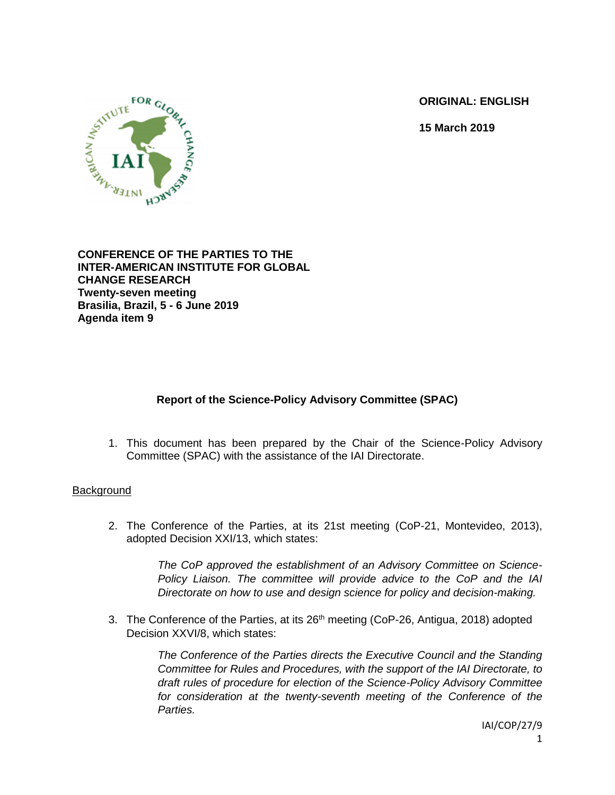**ORIGINAL: ENGLISH**

**15 March 2019**



**CONFERENCE OF THE PARTIES TO THE INTER-AMERICAN INSTITUTE FOR GLOBAL CHANGE RESEARCH Twenty-seven meeting Brasilia, Brazil, 5 - 6 June 2019 Agenda item 9**

# **Report of the Science-Policy Advisory Committee (SPAC)**

1. This document has been prepared by the Chair of the Science-Policy Advisory Committee (SPAC) with the assistance of the IAI Directorate.

## **Background**

2. The Conference of the Parties, at its 21st meeting (CoP-21, Montevideo, 2013), adopted Decision XXI/13, which states:

> *The CoP approved the establishment of an Advisory Committee on Science-Policy Liaison. The committee will provide advice to the CoP and the IAI Directorate on how to use and design science for policy and decision-making.*

3. The Conference of the Parties, at its  $26<sup>th</sup>$  meeting (CoP-26, Antigua, 2018) adopted Decision XXVI/8, which states:

> *The Conference of the Parties directs the Executive Council and the Standing Committee for Rules and Procedures, with the support of the IAI Directorate, to draft rules of procedure for election of the Science-Policy Advisory Committee for consideration at the twenty-seventh meeting of the Conference of the Parties.*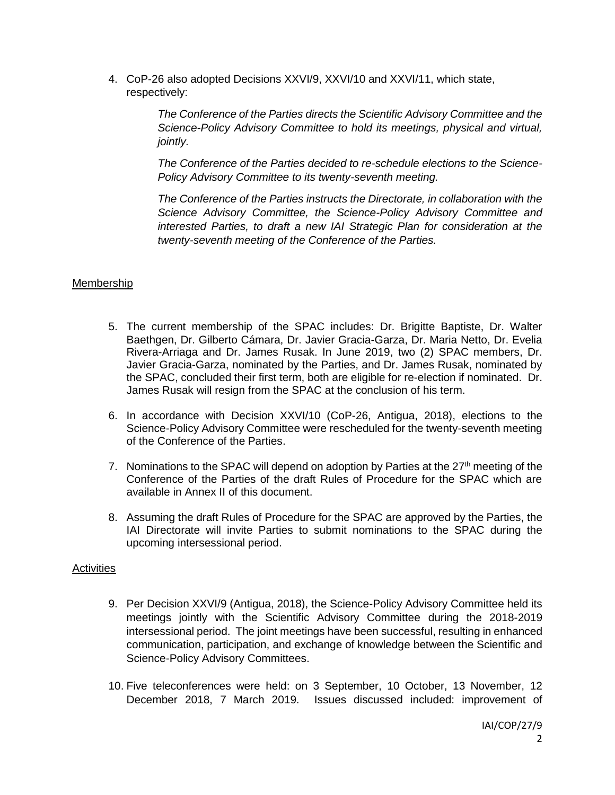4. CoP-26 also adopted Decisions XXVI/9, XXVI/10 and XXVI/11, which state, respectively:

> *The Conference of the Parties directs the Scientific Advisory Committee and the Science-Policy Advisory Committee to hold its meetings, physical and virtual, jointly.*

> *The Conference of the Parties decided to re-schedule elections to the Science-Policy Advisory Committee to its twenty-seventh meeting.*

> *The Conference of the Parties instructs the Directorate, in collaboration with the Science Advisory Committee, the Science-Policy Advisory Committee and interested Parties, to draft a new IAI Strategic Plan for consideration at the twenty-seventh meeting of the Conference of the Parties.*

## Membership

- 5. The current membership of the SPAC includes: Dr. Brigitte Baptiste, Dr. Walter Baethgen, Dr. Gilberto Cámara, Dr. Javier Gracia-Garza, Dr. Maria Netto, Dr. Evelia Rivera-Arriaga and Dr. James Rusak. In June 2019, two (2) SPAC members, Dr. Javier Gracia-Garza, nominated by the Parties, and Dr. James Rusak, nominated by the SPAC, concluded their first term, both are eligible for re-election if nominated. Dr. James Rusak will resign from the SPAC at the conclusion of his term.
- 6. In accordance with Decision XXVI/10 (CoP-26, Antigua, 2018), elections to the Science-Policy Advisory Committee were rescheduled for the twenty-seventh meeting of the Conference of the Parties.
- 7. Nominations to the SPAC will depend on adoption by Parties at the  $27<sup>th</sup>$  meeting of the Conference of the Parties of the draft Rules of Procedure for the SPAC which are available in Annex II of this document.
- 8. Assuming the draft Rules of Procedure for the SPAC are approved by the Parties, the IAI Directorate will invite Parties to submit nominations to the SPAC during the upcoming intersessional period.

## **Activities**

- 9. Per Decision XXVI/9 (Antigua, 2018), the Science-Policy Advisory Committee held its meetings jointly with the Scientific Advisory Committee during the 2018-2019 intersessional period. The joint meetings have been successful, resulting in enhanced communication, participation, and exchange of knowledge between the Scientific and Science-Policy Advisory Committees.
- 10. Five teleconferences were held: on 3 September, 10 October, 13 November, 12 December 2018, 7 March 2019. Issues discussed included: improvement of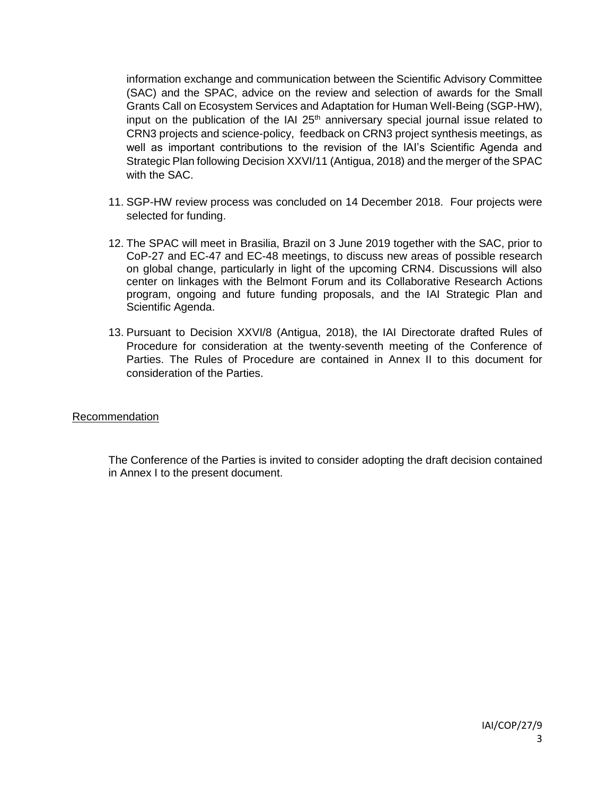information exchange and communication between the Scientific Advisory Committee (SAC) and the SPAC, advice on the review and selection of awards for the Small Grants Call on Ecosystem Services and Adaptation for Human Well-Being (SGP-HW), input on the publication of the IAI  $25<sup>th</sup>$  anniversary special journal issue related to CRN3 projects and science-policy, feedback on CRN3 project synthesis meetings, as well as important contributions to the revision of the IAI's Scientific Agenda and Strategic Plan following Decision XXVI/11 (Antigua, 2018) and the merger of the SPAC with the SAC.

- 11. SGP-HW review process was concluded on 14 December 2018. Four projects were selected for funding.
- 12. The SPAC will meet in Brasilia, Brazil on 3 June 2019 together with the SAC, prior to CoP-27 and EC-47 and EC-48 meetings, to discuss new areas of possible research on global change, particularly in light of the upcoming CRN4. Discussions will also center on linkages with the Belmont Forum and its Collaborative Research Actions program, ongoing and future funding proposals, and the IAI Strategic Plan and Scientific Agenda.
- 13. Pursuant to Decision XXVI/8 (Antigua, 2018), the IAI Directorate drafted Rules of Procedure for consideration at the twenty-seventh meeting of the Conference of Parties. The Rules of Procedure are contained in Annex II to this document for consideration of the Parties.

## Recommendation

The Conference of the Parties is invited to consider adopting the draft decision contained in Annex I to the present document.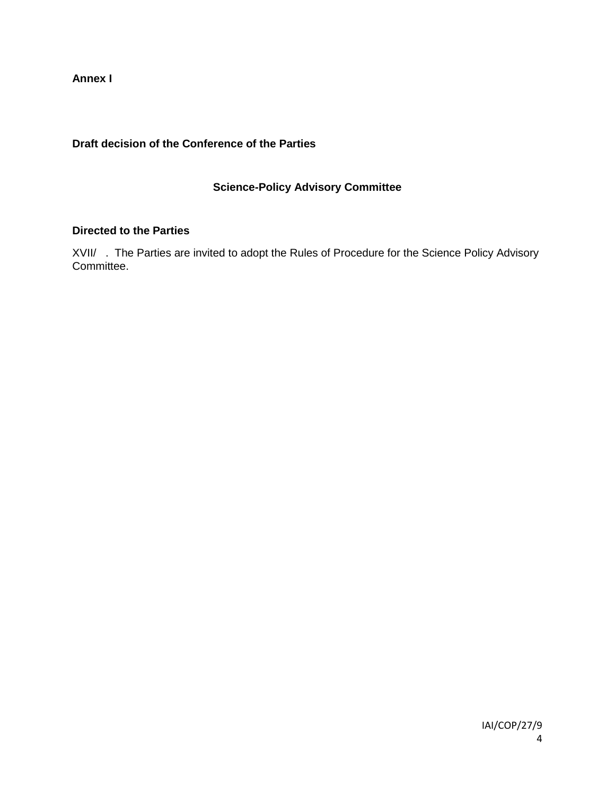**Annex I** 

# **Draft decision of the Conference of the Parties**

# **Science-Policy Advisory Committee**

## **Directed to the Parties**

XVII/ . The Parties are invited to adopt the Rules of Procedure for the Science Policy Advisory Committee.